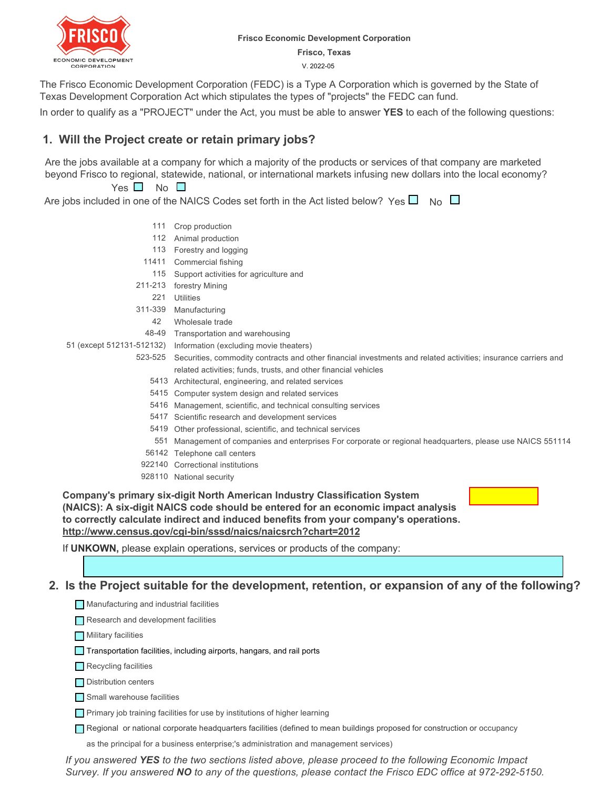

#### **Frisco Economic Development Corporation**

**Frisco, Texas**

V. 2022-05

The Frisco Economic Development Corporation (FEDC) is a Type A Corporation which is governed by the State of Texas Development Corporation Act which stipulates the types of "projects" the FEDC can fund.

In order to qualify as a "PROJECT" under the Act, you must be able to answer **YES** to each of the following questions:

# **1. Will the Project create or retain primary jobs?**

Are the jobs available at a company for which a majority of the products or services of that company are marketed beyond Frisco to regional, statewide, national, or international markets infusing new dollars into the local economy?

### $Yes \tN$  No  $\Box$

Are jobs included in one of the NAICS Codes set forth in the Act listed below?  $\,$  Yes  $\Box$   $\,$  No  $\,$ 

- 111 Crop production 112 Animal production 113 Forestry and logging Commercial fishing 11411 115 Support activities for agriculture and 211-213 forestry Mining Utilities 221 311-339 Manufacturing Wholesale trade 42 48-49 Transportation and warehousing 51 (except 512131-512132) Information (excluding movie theaters) 523-525 Securities, commodity contracts and other financial investments and related activities; insurance carriers and related activities; funds, trusts, and other financial vehicles 5413 Architectural, engineering, and related services 5415 Computer system design and related services 5416 Management, scientific, and technical consulting services 5417 Scientific research and development services 5419 Other professional, scientific, and technical services Management of companies and enterprises For corporate or regional headquarters, please use NAICS 551114 551 56142 Telephone call centers 922140 Correctional institutions
	- 928110 National security

**Company's primary six-digit North American Industry Classification System (NAICS): A six-digit NAICS code should be entered for an economic impact analysis to correctly calculate indirect and induced benefits from your company's operations. http://www.census.gov/cgi-bin/sssd/naics/naicsrch?chart=2012**

If **UNKOWN,** please explain operations, services or products of the company:

### **2. Is the Project suitable for the development, retention, or expansion of any of the following?**

| Manufacturing and industrial facilities |  |
|-----------------------------------------|--|
| Research and development facilities     |  |
| $\Box$ Military facilities              |  |
|                                         |  |

- Transportation facilities, including airports, hangars, and rail ports
- Recycling facilities

Distribution centers

Small warehouse facilities

**Primary job training facilities for use by institutions of higher learning** 

Regional or national corporate headquarters facilities (defined to mean buildings proposed for construction or

occupancy as the principal for a business enterprise;'s administration and management services)

*If you answered YES to the two sections listed above, please proceed to the following Economic Impact Survey. If you answered NO to any of the questions, please contact the Frisco EDC office at 972-292-5150.*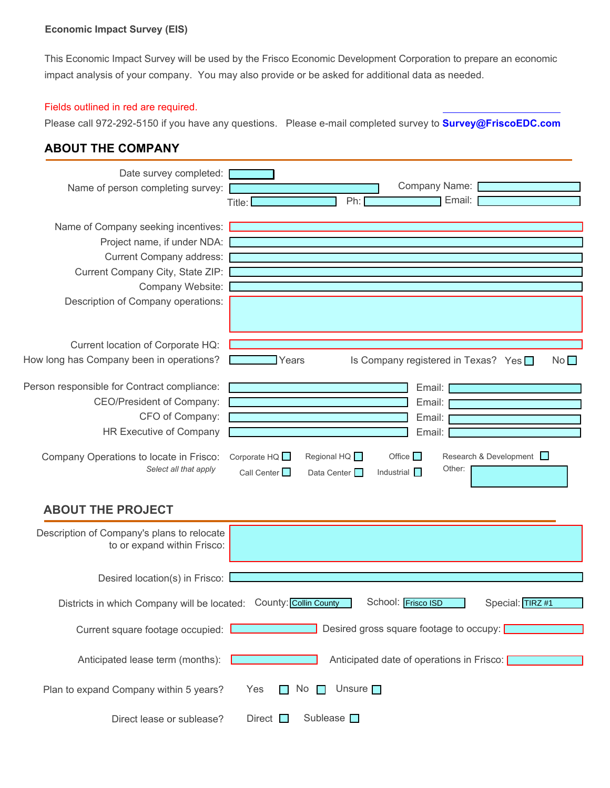### **Economic Impact Survey (EIS)**

This Economic Impact Survey will be used by the Frisco Economic Development Corporation to prepare an economic impact analysis of your company. You may also provide or be asked for additional data as needed.

## Fields outlined in red are required.

Please call 972-292-5150 if you have any questions. Please e-mail completed survey to **Survey@FriscoEDC.com**

# **ABOUT THE COMPANY**

| Date survey completed: [<br>Name of person completing survey:                                                                                                                                                                 | Company Name:<br>Ph:<br>Email:<br>Title: [                                                                                                                                                                           |
|-------------------------------------------------------------------------------------------------------------------------------------------------------------------------------------------------------------------------------|----------------------------------------------------------------------------------------------------------------------------------------------------------------------------------------------------------------------|
| Name of Company seeking incentives:<br>Project name, if under NDA:<br>Current Company address:<br>Current Company City, State ZIP:<br>Company Website:<br>Description of Company operations:                                  |                                                                                                                                                                                                                      |
| Current location of Corporate HQ:<br>How long has Company been in operations?                                                                                                                                                 | Years<br>Is Company registered in Texas? Yes □<br>No                                                                                                                                                                 |
| Person responsible for Contract compliance:<br><b>CEO/President of Company:</b><br>CFO of Company:<br>HR Executive of Company<br>Company Operations to locate in Frisco:<br>Select all that apply<br><b>ABOUT THE PROJECT</b> | Email:<br>Email:<br>Email:<br>Email:<br>Corporate $HQ \Box$<br>Regional HQ <b>D</b><br>Office $\Box$<br>Research & Development<br>Other:<br>Call Center $\square$<br>Industrial <b>D</b><br>Data Center <sup>1</sup> |
| Description of Company's plans to relocate<br>to or expand within Frisco:                                                                                                                                                     |                                                                                                                                                                                                                      |
| Desired location(s) in Frisco:                                                                                                                                                                                                |                                                                                                                                                                                                                      |
| Districts in which Company will be located: County: Collin County                                                                                                                                                             | School: Frisco ISD<br>Special: TIRZ #1                                                                                                                                                                               |
| Current square footage occupied:                                                                                                                                                                                              | Desired gross square footage to occupy:                                                                                                                                                                              |
| Anticipated lease term (months):                                                                                                                                                                                              | Anticipated date of operations in Frisco:                                                                                                                                                                            |
| Plan to expand Company within 5 years?                                                                                                                                                                                        | Unsure $\Box$<br>No $\Box$<br>Yes<br><b>The Contract</b>                                                                                                                                                             |

Direct Sublease Direct lease or sublease?